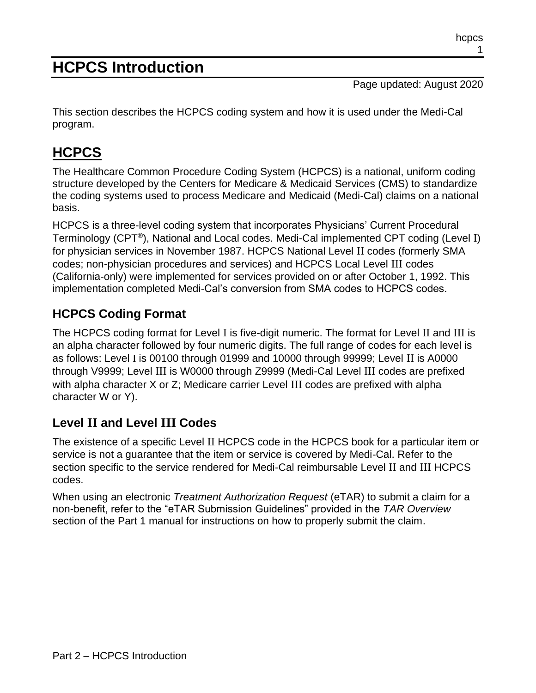# **HCPCS Introduction**

Page updated: August 2020

This section describes the HCPCS coding system and how it is used under the Medi-Cal program.

# **HCPCS**

The Healthcare Common Procedure Coding System (HCPCS) is a national, uniform coding structure developed by the Centers for Medicare & Medicaid Services (CMS) to standardize the coding systems used to process Medicare and Medicaid (Medi-Cal) claims on a national basis.

HCPCS is a three-level coding system that incorporates Physicians' Current Procedural Terminology (CPT®), National and Local codes. Medi-Cal implemented CPT coding (Level I) for physician services in November 1987. HCPCS National Level II codes (formerly SMA codes; non-physician procedures and services) and HCPCS Local Level III codes (California-only) were implemented for services provided on or after October 1, 1992. This implementation completed Medi-Cal's conversion from SMA codes to HCPCS codes.

#### **HCPCS Coding Format**

The HCPCS coding format for Level I is five-digit numeric. The format for Level II and III is an alpha character followed by four numeric digits. The full range of codes for each level is as follows: Level I is 00100 through 01999 and 10000 through 99999; Level II is A0000 through V9999; Level III is W0000 through Z9999 (Medi-Cal Level III codes are prefixed with alpha character X or Z; Medicare carrier Level III codes are prefixed with alpha character W or Y).

#### **Level II and Level III Codes**

The existence of a specific Level II HCPCS code in the HCPCS book for a particular item or service is not a guarantee that the item or service is covered by Medi-Cal. Refer to the section specific to the service rendered for Medi-Cal reimbursable Level II and III HCPCS codes.

When using an electronic *Treatment Authorization Request* (eTAR) to submit a claim for a non-benefit, refer to the "eTAR Submission Guidelines" provided in the *TAR Overview* section of the Part 1 manual for instructions on how to properly submit the claim.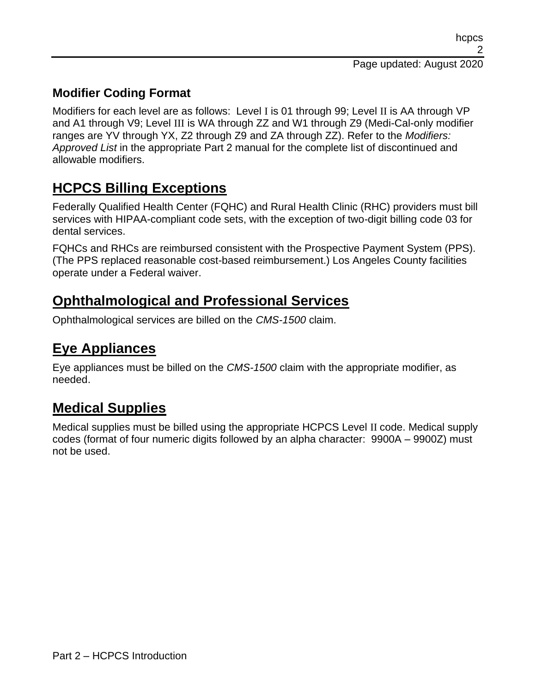#### **Modifier Coding Format**

Modifiers for each level are as follows: Level I is 01 through 99; Level II is AA through VP and A1 through V9; Level III is WA through ZZ and W1 through Z9 (Medi-Cal-only modifier ranges are YV through YX, Z2 through Z9 and ZA through ZZ). Refer to the *Modifiers: Approved List* in the appropriate Part 2 manual for the complete list of discontinued and allowable modifiers.

## **HCPCS Billing Exceptions**

Federally Qualified Health Center (FQHC) and Rural Health Clinic (RHC) providers must bill services with HIPAA-compliant code sets, with the exception of two-digit billing code 03 for dental services.

FQHCs and RHCs are reimbursed consistent with the Prospective Payment System (PPS). (The PPS replaced reasonable cost-based reimbursement.) Los Angeles County facilities operate under a Federal waiver.

## **Ophthalmological and Professional Services**

Ophthalmological services are billed on the *CMS-1500* claim.

## **Eye Appliances**

Eye appliances must be billed on the *CMS-1500* claim with the appropriate modifier, as needed.

# **Medical Supplies**

Medical supplies must be billed using the appropriate HCPCS Level II code. Medical supply codes (format of four numeric digits followed by an alpha character: 9900A – 9900Z) must not be used.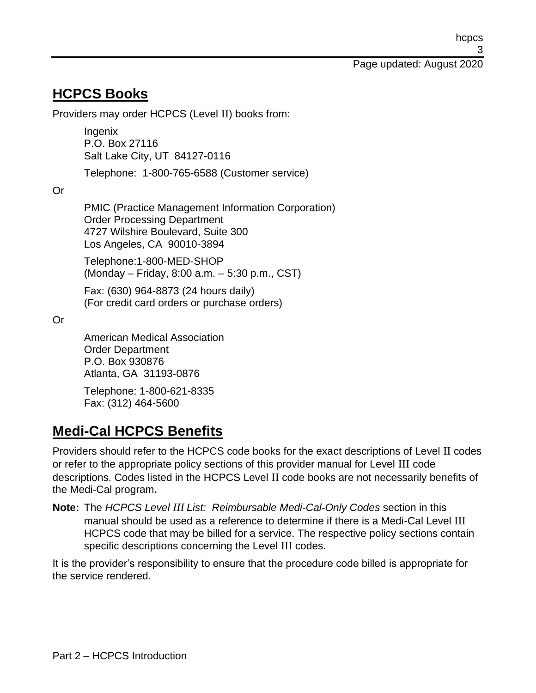#### **HCPCS Books**

Providers may order HCPCS (Level II) books from:

Ingenix P.O. Box 27116 Salt Lake City, UT 84127-0116

Telephone: 1-800-765-6588 (Customer service)

Or

PMIC (Practice Management Information Corporation) Order Processing Department 4727 Wilshire Boulevard, Suite 300 Los Angeles, CA 90010-3894

Telephone:1-800-MED-SHOP (Monday – Friday, 8:00 a.m. – 5:30 p.m., CST)

Fax: (630) 964-8873 (24 hours daily) (For credit card orders or purchase orders)

Or

American Medical Association Order Department P.O. Box 930876 Atlanta, GA 31193-0876

Telephone: 1-800-621-8335 Fax: (312) 464-5600

## **Medi-Cal HCPCS Benefits**

Providers should refer to the HCPCS code books for the exact descriptions of Level II codes or refer to the appropriate policy sections of this provider manual for Level III code descriptions. Codes listed in the HCPCS Level II code books are not necessarily benefits of the Medi-Cal program**.**

**Note:** The *HCPCS Level III List: Reimbursable Medi-Cal-Only Codes* section in this manual should be used as a reference to determine if there is a Medi-Cal Level III HCPCS code that may be billed for a service. The respective policy sections contain specific descriptions concerning the Level III codes.

It is the provider's responsibility to ensure that the procedure code billed is appropriate for the service rendered.